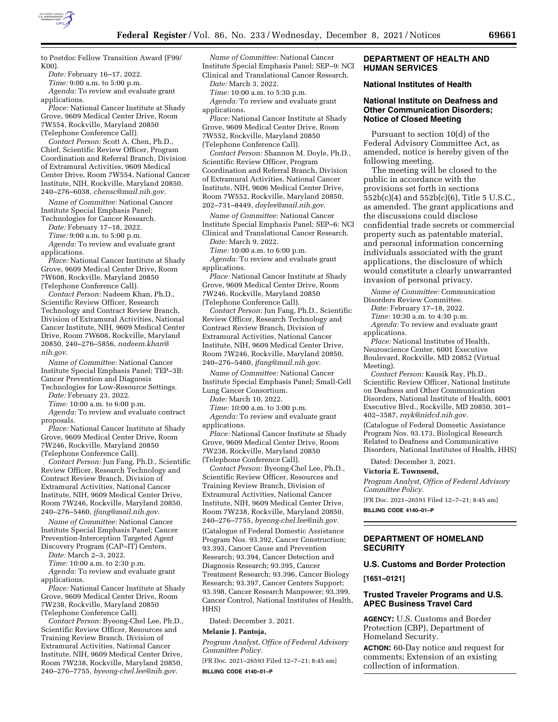

to Postdoc Fellow Transition Award (F99/ K00).

*Date:* February 16–17, 2022.

*Time:* 9:00 a.m. to 5:00 p.m. *Agenda:* To review and evaluate grant applications.

*Place:* National Cancer Institute at Shady Grove, 9609 Medical Center Drive, Room 7W554, Rockville, Maryland 20850 (Telephone Conference Call).

*Contact Person:* Scott A. Chen, Ph.D., Chief, Scientific Review Officer, Program Coordination and Referral Branch, Division of Extramural Activities, 9609 Medical Center Drive, Room 7W554, National Cancer Institute, NIH, Rockville, Maryland 20850, 240–276–6038, *[chensc@mail.nih.gov.](mailto:chensc@mail.nih.gov)* 

*Name of Committee:* National Cancer Institute Special Emphasis Panel;

Technologies for Cancer Research. *Date:* February 17–18, 2022.

*Time:* 9:00 a.m. to 5:00 p.m.

*Agenda:* To review and evaluate grant applications.

*Place:* National Cancer Institute at Shady Grove, 9609 Medical Center Drive, Room 7W608, Rockville, Maryland 20850 (Telephone Conference Call).

*Contact Person:* Nadeem Khan, Ph.D., Scientific Review Officer, Research Technology and Contract Review Branch, Division of Extramural Activities, National Cancer Institute, NIH, 9609 Medical Center Drive, Room 7W608, Rockville, Maryland 20850, 240–276–5856, *[nadeem.khan@](mailto:nadeem.khan@nih.gov) [nih.gov.](mailto:nadeem.khan@nih.gov)* 

*Name of Committee:* National Cancer Institute Special Emphasis Panel; TEP–3B: Cancer Prevention and Diagnosis

Technologies for Low-Resource Settings. *Date:* February 23, 2022.

*Time:* 10:00 a.m. to 6:00 p.m.

*Agenda:* To review and evaluate contract proposals.

*Place:* National Cancer Institute at Shady Grove, 9609 Medical Center Drive, Room 7W246, Rockville, Maryland 20850 (Telephone Conference Call).

*Contact Person:* Jun Fang, Ph.D., Scientific Review Officer, Research Technology and Contract Review Branch, Division of Extramural Activities, National Cancer Institute, NIH, 9609 Medical Center Drive, Room 7W246, Rockville, Maryland 20850, 240–276–5460, *[jfang@mail.nih.gov.](mailto:jfang@mail.nih.gov)* 

*Name of Committee:* National Cancer Institute Special Emphasis Panel; Cancer Prevention-Interception Targeted Agent Discovery Program (CAP–IT) Centers.

*Date:* March 2–3, 2022.

*Time:* 10:00 a.m. to 2:30 p.m.

*Agenda:* To review and evaluate grant applications.

*Place:* National Cancer Institute at Shady Grove, 9609 Medical Center Drive, Room 7W238, Rockville, Maryland 20850 (Telephone Conference Call).

*Contact Person:* Byeong-Chel Lee, Ph.D., Scientific Review Officer, Resources and Training Review Branch, Division of Extramural Activities, National Cancer Institute, NIH, 9609 Medical Center Drive, Room 7W238, Rockville, Maryland 20850, 240–276–7755, *[byeong-chel.lee@nih.gov.](mailto:byeong-chel.lee@nih.gov)* 

*Name of Committee:* National Cancer Institute Special Emphasis Panel; SEP–9: NCI Clinical and Translational Cancer Research.

*Date:* March 3, 2022.

*Time:* 10:00 a.m. to 5:30 p.m. *Agenda:* To review and evaluate grant

applications. *Place:* National Cancer Institute at Shady Grove, 9609 Medical Center Drive, Room 7W552, Rockville, Maryland 20850 (Telephone Conference Call).

*Contact Person:* Shannon M. Doyle, Ph.D., Scientific Review Officer, Program Coordination and Referral Branch, Division of Extramural Activities, National Cancer Institute, NIH, 9606 Medical Center Drive, Room 7W552, Rockville, Maryland 20850, 202–731–8449, *[doyles@mail.nih.gov.](mailto:doyles@mail.nih.gov)* 

*Name of Committee:* National Cancer Institute Special Emphasis Panel; SEP–6: NCI Clinical and Translational Cancer Research.

*Date:* March 9, 2022.

*Time:* 10:00 a.m. to 6:00 p.m. *Agenda:* To review and evaluate grant

applications.

*Place:* National Cancer Institute at Shady Grove, 9609 Medical Center Drive, Room 7W246, Rockville, Maryland 20850 (Telephone Conference Call).

*Contact Person:* Jun Fang, Ph.D., Scientific Review Officer, Research Technology and Contract Review Branch, Division of Extramural Activities, National Cancer Institute, NIH, 9609 Medical Center Drive, Room 7W246, Rockville, Maryland 20850, 240–276–5460, *[jfang@mail.nih.gov.](mailto:jfang@mail.nih.gov)* 

*Name of Committee:* National Cancer Institute Special Emphasis Panel; Small-Cell Lung Cancer Consortium.

*Date:* March 10, 2022.

*Time:* 10:00 a.m. to 3:00 p.m. *Agenda:* To review and evaluate grant applications.

*Place:* National Cancer Institute at Shady Grove, 9609 Medical Center Drive, Room 7W238, Rockville, Maryland 20850 (Telephone Conference Call).

*Contact Person:* Byeong-Chel Lee, Ph.D., Scientific Review Officer, Resources and Training Review Branch, Division of Extramural Activities, National Cancer Institute, NIH, 9609 Medical Center Drive, Room 7W238, Rockville, Maryland 20850, 240–276–7755, *[byeong-chel.lee@nih.gov.](mailto:byeong-chel.lee@nih.gov)*  (Catalogue of Federal Domestic Assistance Program Nos. 93.392, Cancer Construction; 93.393, Cancer Cause and Prevention Research; 93.394, Cancer Detection and Diagnosis Research; 93.395, Cancer Treatment Research; 93.396, Cancer Biology Research; 93.397, Cancer Centers Support; 93.398, Cancer Research Manpower; 93.399, Cancer Control, National Institutes of Health, HHS)

Dated: December 3, 2021.

### **Melanie J. Pantoja,**

*Program Analyst, Office of Federal Advisory Committee Policy.* 

[FR Doc. 2021–26593 Filed 12–7–21; 8:45 am] **BILLING CODE 4140–01–P** 

### **DEPARTMENT OF HEALTH AND HUMAN SERVICES**

### **National Institutes of Health**

### **National Institute on Deafness and Other Communication Disorders; Notice of Closed Meeting**

Pursuant to section 10(d) of the Federal Advisory Committee Act, as amended, notice is hereby given of the following meeting.

The meeting will be closed to the public in accordance with the provisions set forth in sections 552b(c)(4) and 552b(c)(6), Title 5 U.S.C., as amended. The grant applications and the discussions could disclose confidential trade secrets or commercial property such as patentable material, and personal information concerning individuals associated with the grant applications, the disclosure of which would constitute a clearly unwarranted invasion of personal privacy.

*Name of Committee:* Communication Disorders Review Committee.

*Date:* February 17–18, 2022.

*Time:* 10:30 a.m. to 4:30 p.m.

*Agenda:* To review and evaluate grant applications.

*Place:* National Institutes of Health, Neuroscience Center, 6001 Executive Boulevard, Rockville, MD 20852 (Virtual Meeting).

*Contact Person:* Kausik Ray, Ph.D., Scientific Review Officer, National Institute on Deafness and Other Communication Disorders, National Institute of Health, 6001 Executive Blvd., Rockville, MD 20850, 301– 402–3587, *[rayk@nidcd.nih.gov.](mailto:rayk@nidcd.nih.gov)* 

(Catalogue of Federal Domestic Assistance Program Nos. 93.173, Biological Research Related to Deafness and Communicative Disorders, National Institutes of Health, HHS)

Dated: December 3, 2021.

#### **Victoria E. Townsend,**

*Program Analyst, Office of Federal Advisory Committee Policy.* 

[FR Doc. 2021–26591 Filed 12–7–21; 8:45 am] **BILLING CODE 4140–01–P** 

# **DEPARTMENT OF HOMELAND SECURITY**

# **U.S. Customs and Border Protection**

**[1651–0121]** 

## **Trusted Traveler Programs and U.S. APEC Business Travel Card**

**AGENCY:** U.S. Customs and Border Protection (CBP), Department of Homeland Security.

**ACTION:** 60-Day notice and request for comments; Extension of an existing collection of information.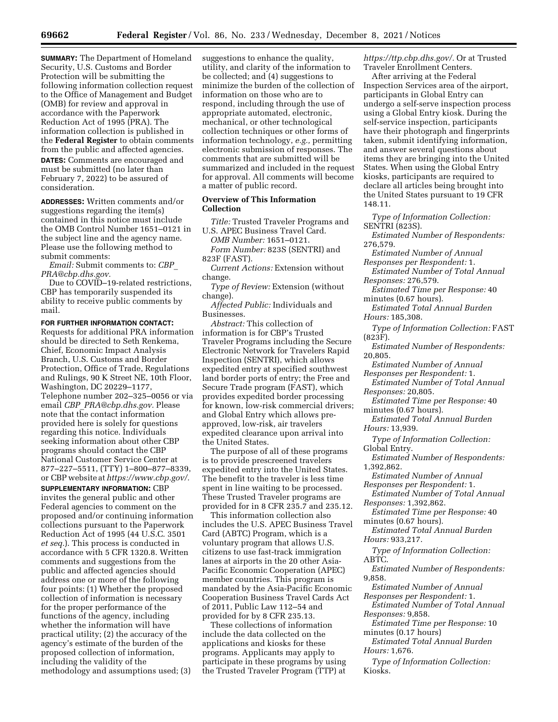**SUMMARY:** The Department of Homeland Security, U.S. Customs and Border Protection will be submitting the following information collection request to the Office of Management and Budget (OMB) for review and approval in accordance with the Paperwork Reduction Act of 1995 (PRA). The information collection is published in the **Federal Register** to obtain comments from the public and affected agencies. **DATES:** Comments are encouraged and must be submitted (no later than February 7, 2022) to be assured of consideration.

**ADDRESSES:** Written comments and/or suggestions regarding the item(s) contained in this notice must include the OMB Control Number 1651–0121 in the subject line and the agency name. Please use the following method to submit comments:

*Email:* Submit comments to: *[CBP](mailto:CBP_PRA@cbp.dhs.gov)*\_ *[PRA@cbp.dhs.gov.](mailto:CBP_PRA@cbp.dhs.gov)* 

Due to COVID–19-related restrictions, CBP has temporarily suspended its ability to receive public comments by mail.

#### **FOR FURTHER INFORMATION CONTACT:**

Requests for additional PRA information should be directed to Seth Renkema, Chief, Economic Impact Analysis Branch, U.S. Customs and Border Protection, Office of Trade, Regulations and Rulings, 90 K Street NE, 10th Floor, Washington, DC 20229–1177, Telephone number 202–325–0056 or via email *CBP*\_*[PRA@cbp.dhs.gov.](mailto:CBP_PRA@cbp.dhs.gov)* Please note that the contact information provided here is solely for questions regarding this notice. Individuals seeking information about other CBP programs should contact the CBP National Customer Service Center at 877–227–5511, (TTY) 1–800–877–8339, or CBP website at *[https://www.cbp.gov/.](https://www.cbp.gov/)* 

**SUPPLEMENTARY INFORMATION:** CBP invites the general public and other Federal agencies to comment on the proposed and/or continuing information collections pursuant to the Paperwork Reduction Act of 1995 (44 U.S.C. 3501 *et seq.*). This process is conducted in accordance with 5 CFR 1320.8. Written comments and suggestions from the public and affected agencies should address one or more of the following four points: (1) Whether the proposed collection of information is necessary for the proper performance of the functions of the agency, including whether the information will have practical utility; (2) the accuracy of the agency's estimate of the burden of the proposed collection of information, including the validity of the methodology and assumptions used; (3)

suggestions to enhance the quality, utility, and clarity of the information to be collected; and (4) suggestions to minimize the burden of the collection of information on those who are to respond, including through the use of appropriate automated, electronic, mechanical, or other technological collection techniques or other forms of information technology, *e.g.,* permitting electronic submission of responses. The comments that are submitted will be summarized and included in the request for approval. All comments will become a matter of public record.

# **Overview of This Information Collection**

*Title:* Trusted Traveler Programs and U.S. APEC Business Travel Card.

*OMB Number:* 1651–0121. *Form Number:* 823S (SENTRI) and

823F (FAST). *Current Actions:* Extension without

change.

*Type of Review:* Extension (without change).

*Affected Public:* Individuals and Businesses.

*Abstract:* This collection of information is for CBP's Trusted Traveler Programs including the Secure Electronic Network for Travelers Rapid Inspection (SENTRI), which allows expedited entry at specified southwest land border ports of entry; the Free and Secure Trade program (FAST), which provides expedited border processing for known, low-risk commercial drivers; and Global Entry which allows preapproved, low-risk, air travelers expedited clearance upon arrival into the United States.

The purpose of all of these programs is to provide prescreened travelers expedited entry into the United States. The benefit to the traveler is less time spent in line waiting to be processed. These Trusted Traveler programs are provided for in 8 CFR 235.7 and 235.12.

This information collection also includes the U.S. APEC Business Travel Card (ABTC) Program, which is a voluntary program that allows U.S. citizens to use fast-track immigration lanes at airports in the 20 other Asia-Pacific Economic Cooperation (APEC) member countries. This program is mandated by the Asia-Pacific Economic Cooperation Business Travel Cards Act of 2011, Public Law 112–54 and provided for by 8 CFR 235.13.

These collections of information include the data collected on the applications and kiosks for these programs. Applicants may apply to participate in these programs by using the Trusted Traveler Program (TTP) at *[https://ttp.cbp.dhs.gov/.](https://ttp.cbp.dhs.gov/)* Or at Trusted Traveler Enrollment Centers.

After arriving at the Federal Inspection Services area of the airport, participants in Global Entry can undergo a self-serve inspection process using a Global Entry kiosk. During the self-service inspection, participants have their photograph and fingerprints taken, submit identifying information, and answer several questions about items they are bringing into the United States. When using the Global Entry kiosks, participants are required to declare all articles being brought into the United States pursuant to 19 CFR 148.11.

*Type of Information Collection:*  SENTRI (823S).

*Estimated Number of Respondents:*  276,579.

*Estimated Number of Annual Responses per Respondent:* 1.

*Estimated Number of Total Annual Responses:* 276,579.

*Estimated Time per Response:* 40 minutes (0.67 hours).

*Estimated Total Annual Burden Hours:* 185,308.

*Type of Information Collection:* FAST

(823F).

*Estimated Number of Respondents:*  20,805.

*Estimated Number of Annual* 

*Responses per Respondent:* 1. *Estimated Number of Total Annual* 

*Responses:* 20,805.

*Estimated Time per Response:* 40 minutes (0.67 hours).

*Estimated Total Annual Burden Hours:* 13,939.

*Type of Information Collection:*  Global Entry.

*Estimated Number of Respondents:*  1,392,862.

*Estimated Number of Annual Responses per Respondent:* 1.

*Estimated Number of Total Annual Responses:* 1,392,862.

*Estimated Time per Response:* 40 minutes (0.67 hours).

*Estimated Total Annual Burden Hours:* 933,217.

*Type of Information Collection:*  ABTC.

*Estimated Number of Respondents:*  9,858.

*Estimated Number of Annual* 

*Responses per Respondent:* 1. *Estimated Number of Total Annual* 

*Responses:* 9,858.

*Estimated Time per Response:* 10 minutes (0.17 hours)

*Estimated Total Annual Burden Hours:* 1,676.

*Type of Information Collection:*  Kiosks.